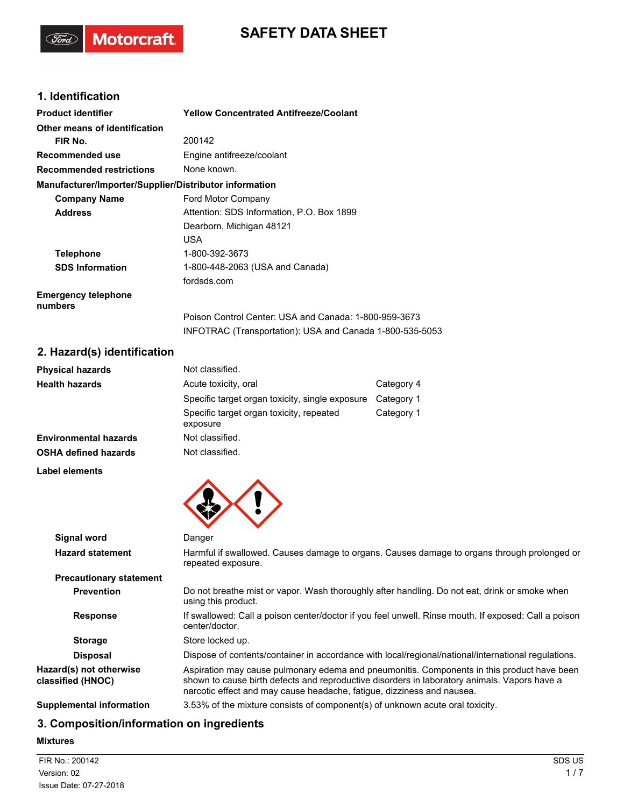# **SAFETY DATA SHEET**

## **1. Identification**

(Ford)

Motorcraft.

| <b>Product identifier</b>                              | <b>Yellow Concentrated Antifreeze/Coolant</b>                                                                     |
|--------------------------------------------------------|-------------------------------------------------------------------------------------------------------------------|
| Other means of identification                          |                                                                                                                   |
| FIR No.                                                | 200142                                                                                                            |
| <b>Recommended use</b>                                 | Engine antifreeze/coolant                                                                                         |
| <b>Recommended restrictions</b>                        | None known.                                                                                                       |
| Manufacturer/Importer/Supplier/Distributor information |                                                                                                                   |
| <b>Company Name</b>                                    | Ford Motor Company                                                                                                |
| <b>Address</b>                                         | Attention: SDS Information, P.O. Box 1899                                                                         |
|                                                        | Dearborn, Michigan 48121                                                                                          |
|                                                        | <b>USA</b>                                                                                                        |
| <b>Telephone</b>                                       | 1-800-392-3673                                                                                                    |
| <b>SDS Information</b>                                 | 1-800-448-2063 (USA and Canada)                                                                                   |
|                                                        | fordsds.com                                                                                                       |
| <b>Emergency telephone</b><br>numbers                  |                                                                                                                   |
|                                                        | Poison Control Center: USA and Canada: 1-800-959-3673<br>INFOTRAC (Transportation): USA and Canada 1-800-535-5053 |

## **2. Hazard(s) identification**

**Label elements**

| <b>Physical hazards</b>      | Not classified.                                      |            |
|------------------------------|------------------------------------------------------|------------|
| <b>Health hazards</b>        | Acute toxicity, oral                                 | Category 4 |
|                              | Specific target organ toxicity, single exposure      | Category 1 |
|                              | Specific target organ toxicity, repeated<br>exposure | Category 1 |
| <b>Environmental hazards</b> | Not classified.                                      |            |
| <b>OSHA defined hazards</b>  | Not classified.                                      |            |



| <b>Signal word</b>                           | Danger                                                                                                                                                                                                                                                               |
|----------------------------------------------|----------------------------------------------------------------------------------------------------------------------------------------------------------------------------------------------------------------------------------------------------------------------|
| <b>Hazard statement</b>                      | Harmful if swallowed. Causes damage to organs. Causes damage to organs through prolonged or<br>repeated exposure.                                                                                                                                                    |
| <b>Precautionary statement</b>               |                                                                                                                                                                                                                                                                      |
| <b>Prevention</b>                            | Do not breathe mist or vapor. Wash thoroughly after handling. Do not eat, drink or smoke when<br>using this product.                                                                                                                                                 |
| <b>Response</b>                              | If swallowed: Call a poison center/doctor if you feel unwell. Rinse mouth. If exposed: Call a poison<br>center/doctor.                                                                                                                                               |
| <b>Storage</b>                               | Store locked up.                                                                                                                                                                                                                                                     |
| <b>Disposal</b>                              | Dispose of contents/container in accordance with local/regional/national/international regulations.                                                                                                                                                                  |
| Hazard(s) not otherwise<br>classified (HNOC) | Aspiration may cause pulmonary edema and pneumonitis. Components in this product have been<br>shown to cause birth defects and reproductive disorders in laboratory animals. Vapors have a<br>narcotic effect and may cause headache, fatique, dizziness and nausea. |
| Supplemental information                     | 3.53% of the mixture consists of component(s) of unknown acute oral toxicity.                                                                                                                                                                                        |

## **3. Composition/information on ingredients**

### **Mixtures**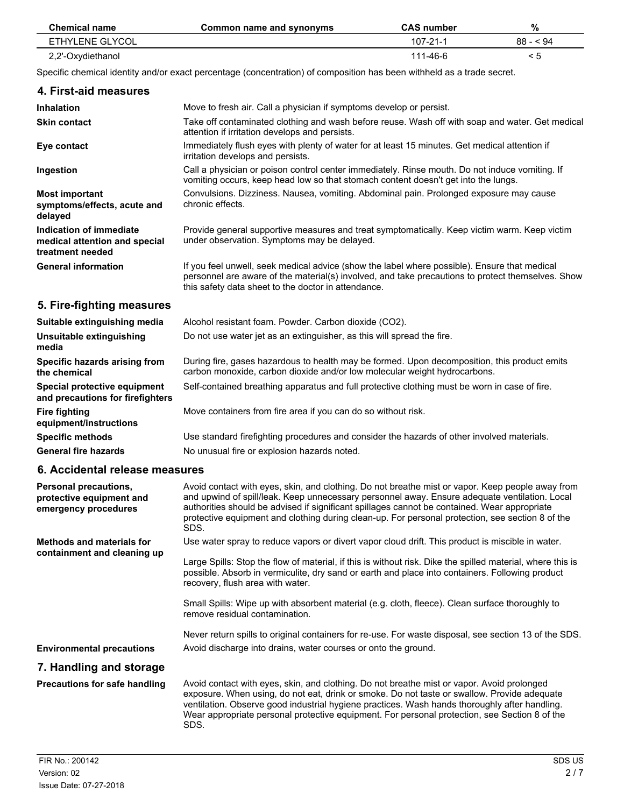| <b>Chemical name</b> | Common name and synonyms | <b>CAS number</b> | %         |
|----------------------|--------------------------|-------------------|-----------|
| ETHYLENE GLYCOL      |                          | $107 - 21 - 1$    | $88 - 94$ |
| 2,2'-Oxydiethanol    |                          | 111-46-6          |           |

Specific chemical identity and/or exact percentage (concentration) of composition has been withheld as a trade secret.

| 4. First-aid measures                                                        |                                                                                                                                                                                                   |
|------------------------------------------------------------------------------|---------------------------------------------------------------------------------------------------------------------------------------------------------------------------------------------------|
| <b>Inhalation</b>                                                            | Move to fresh air. Call a physician if symptoms develop or persist.                                                                                                                               |
| <b>Skin contact</b>                                                          | Take off contaminated clothing and wash before reuse. Wash off with soap and water. Get medical<br>attention if irritation develops and persists.                                                 |
| Eye contact                                                                  | Immediately flush eyes with plenty of water for at least 15 minutes. Get medical attention if<br>irritation develops and persists.                                                                |
| Ingestion                                                                    | Call a physician or poison control center immediately. Rinse mouth. Do not induce vomiting. If<br>vomiting occurs, keep head low so that stomach content doesn't get into the lungs.              |
| <b>Most important</b><br>symptoms/effects, acute and<br>delayed              | Convulsions. Dizziness. Nausea, vomiting. Abdominal pain. Prolonged exposure may cause<br>chronic effects.                                                                                        |
| Indication of immediate<br>medical attention and special<br>treatment needed | Provide general supportive measures and treat symptomatically. Keep victim warm. Keep victim<br>under observation. Symptoms may be delayed.                                                       |
| <b>General information</b>                                                   | If you feel unwell, seek medical advice (show the label where possible). Ensure that medical<br>personnel are aware of the material(s) involved, and take precautions to protect themselves. Show |

## **5. Fire-fighting measures**

| Suitable extinguishing media                                     | Alcohol resistant foam. Powder. Carbon dioxide (CO2).                                                                                                                     |
|------------------------------------------------------------------|---------------------------------------------------------------------------------------------------------------------------------------------------------------------------|
| Unsuitable extinguishing<br>media                                | Do not use water jet as an extinguisher, as this will spread the fire.                                                                                                    |
| Specific hazards arising from<br>the chemical                    | During fire, gases hazardous to health may be formed. Upon decomposition, this product emits<br>carbon monoxide, carbon dioxide and/or low molecular weight hydrocarbons. |
| Special protective equipment<br>and precautions for firefighters | Self-contained breathing apparatus and full protective clothing must be worn in case of fire.                                                                             |
| <b>Fire fighting</b><br>equipment/instructions                   | Move containers from fire area if you can do so without risk.                                                                                                             |
| <b>Specific methods</b>                                          | Use standard firefighting procedures and consider the hazards of other involved materials.                                                                                |
| <b>General fire hazards</b>                                      | No unusual fire or explosion hazards noted.                                                                                                                               |

this safety data sheet to the doctor in attendance.

### **6. Accidental release measures**

| Personal precautions,<br>protective equipment and               | Avoid contact with eyes, skin, and clothing. Do not breathe mist or vapor. Keep people away from<br>and upwind of spill/leak. Keep unnecessary personnel away. Ensure adequate ventilation. Local                                                                                                                                                                                           |
|-----------------------------------------------------------------|---------------------------------------------------------------------------------------------------------------------------------------------------------------------------------------------------------------------------------------------------------------------------------------------------------------------------------------------------------------------------------------------|
| emergency procedures                                            | authorities should be advised if significant spillages cannot be contained. Wear appropriate<br>protective equipment and clothing during clean-up. For personal protection, see section 8 of the<br>SDS.                                                                                                                                                                                    |
| <b>Methods and materials for</b><br>containment and cleaning up | Use water spray to reduce vapors or divert vapor cloud drift. This product is miscible in water.                                                                                                                                                                                                                                                                                            |
|                                                                 | Large Spills: Stop the flow of material, if this is without risk. Dike the spilled material, where this is<br>possible. Absorb in vermiculite, dry sand or earth and place into containers. Following product<br>recovery, flush area with water.                                                                                                                                           |
|                                                                 | Small Spills: Wipe up with absorbent material (e.g. cloth, fleece). Clean surface thoroughly to<br>remove residual contamination.                                                                                                                                                                                                                                                           |
|                                                                 | Never return spills to original containers for re-use. For waste disposal, see section 13 of the SDS.                                                                                                                                                                                                                                                                                       |
| <b>Environmental precautions</b>                                | Avoid discharge into drains, water courses or onto the ground.                                                                                                                                                                                                                                                                                                                              |
| 7. Handling and storage                                         |                                                                                                                                                                                                                                                                                                                                                                                             |
| <b>Precautions for safe handling</b>                            | Avoid contact with eyes, skin, and clothing. Do not breathe mist or vapor. Avoid prolonged<br>exposure. When using, do not eat, drink or smoke. Do not taste or swallow. Provide adequate<br>ventilation. Observe good industrial hygiene practices. Wash hands thoroughly after handling.<br>Wear appropriate personal protective equipment. For personal protection, see Section 8 of the |

SDS.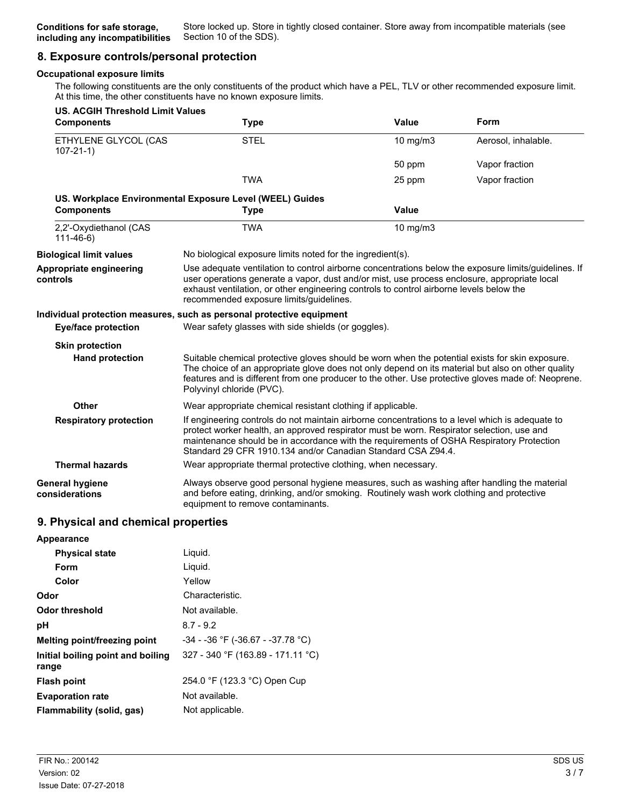## **8. Exposure controls/personal protection**

#### **Occupational exposure limits**

The following constituents are the only constituents of the product which have a PEL, TLV or other recommended exposure limit. At this time, the other constituents have no known exposure limits.

| <b>US. ACGIH Threshold Limit Values</b><br><b>Components</b> | Type                                                                                                                                                                                                                                                                                                                                                     | Value        | Form                |
|--------------------------------------------------------------|----------------------------------------------------------------------------------------------------------------------------------------------------------------------------------------------------------------------------------------------------------------------------------------------------------------------------------------------------------|--------------|---------------------|
| ETHYLENE GLYCOL (CAS<br>$107 - 21 - 1$                       | <b>STEL</b>                                                                                                                                                                                                                                                                                                                                              | 10 mg/m3     | Aerosol, inhalable. |
|                                                              |                                                                                                                                                                                                                                                                                                                                                          | 50 ppm       | Vapor fraction      |
|                                                              | <b>TWA</b>                                                                                                                                                                                                                                                                                                                                               | 25 ppm       | Vapor fraction      |
|                                                              | US. Workplace Environmental Exposure Level (WEEL) Guides                                                                                                                                                                                                                                                                                                 |              |                     |
| <b>Components</b>                                            | <b>Type</b>                                                                                                                                                                                                                                                                                                                                              | <b>Value</b> |                     |
| 2,2'-Oxydiethanol (CAS<br>$111 - 46 - 6$                     | <b>TWA</b>                                                                                                                                                                                                                                                                                                                                               | 10 mg/m3     |                     |
| <b>Biological limit values</b>                               | No biological exposure limits noted for the ingredient(s).                                                                                                                                                                                                                                                                                               |              |                     |
| Appropriate engineering<br>controls                          | Use adequate ventilation to control airborne concentrations below the exposure limits/guidelines. If<br>user operations generate a vapor, dust and/or mist, use process enclosure, appropriate local<br>exhaust ventilation, or other engineering controls to control airborne levels below the<br>recommended exposure limits/guidelines.               |              |                     |
|                                                              | Individual protection measures, such as personal protective equipment                                                                                                                                                                                                                                                                                    |              |                     |
| <b>Eye/face protection</b>                                   | Wear safety glasses with side shields (or goggles).                                                                                                                                                                                                                                                                                                      |              |                     |
| <b>Skin protection</b>                                       |                                                                                                                                                                                                                                                                                                                                                          |              |                     |
| <b>Hand protection</b>                                       | Suitable chemical protective gloves should be worn when the potential exists for skin exposure.<br>The choice of an appropriate glove does not only depend on its material but also on other quality<br>features and is different from one producer to the other. Use protective gloves made of: Neoprene.<br>Polyvinyl chloride (PVC).                  |              |                     |
| Other                                                        | Wear appropriate chemical resistant clothing if applicable.                                                                                                                                                                                                                                                                                              |              |                     |
| <b>Respiratory protection</b>                                | If engineering controls do not maintain airborne concentrations to a level which is adequate to<br>protect worker health, an approved respirator must be worn. Respirator selection, use and<br>maintenance should be in accordance with the requirements of OSHA Respiratory Protection<br>Standard 29 CFR 1910.134 and/or Canadian Standard CSA Z94.4. |              |                     |
| <b>Thermal hazards</b>                                       | Wear appropriate thermal protective clothing, when necessary.                                                                                                                                                                                                                                                                                            |              |                     |
| General hygiene<br>considerations                            | Always observe good personal hygiene measures, such as washing after handling the material<br>and before eating, drinking, and/or smoking. Routinely wash work clothing and protective<br>equipment to remove contaminants.                                                                                                                              |              |                     |

### **9. Physical and chemical properties**

| Liquid.                              |
|--------------------------------------|
| Liquid.                              |
| Yellow                               |
| Characteristic.                      |
| Not available.                       |
| $8.7 - 9.2$                          |
| $-34 - 36$ °F ( $-36.67 - 37.78$ °C) |
| 327 - 340 °F (163.89 - 171.11 °C)    |
| 254.0 °F (123.3 °C) Open Cup         |
| Not available.                       |
| Not applicable.                      |
|                                      |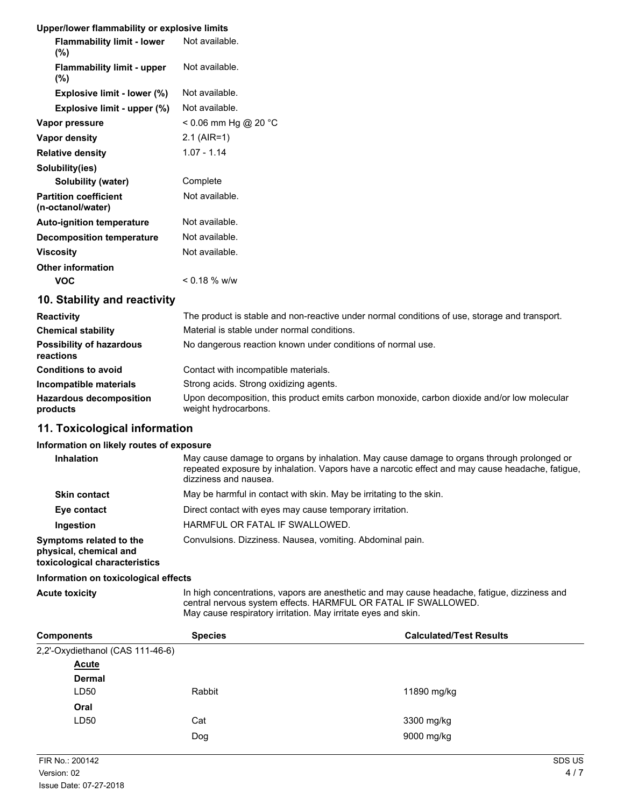### **Upper/lower flammability or explosive limits**

| <b>Flammability limit - lower</b><br>$(\%)$       | Not available.         |
|---------------------------------------------------|------------------------|
| <b>Flammability limit - upper</b><br>$(\% )$      | Not available.         |
| Explosive limit - lower (%)                       | Not available.         |
| Explosive limit - upper (%)                       | Not available.         |
| Vapor pressure                                    | $<$ 0.06 mm Hg @ 20 °C |
| Vapor density                                     | $2.1$ (AIR=1)          |
| <b>Relative density</b>                           | $1.07 - 1.14$          |
| Solubility(ies)                                   |                        |
| Solubility (water)                                | Complete               |
| <b>Partition coefficient</b><br>(n-octanol/water) | Not available.         |
| <b>Auto-ignition temperature</b>                  | Not available.         |
| <b>Decomposition temperature</b>                  | Not available.         |
| <b>Viscosity</b>                                  | Not available.         |
| <b>Other information</b>                          |                        |
| VOC                                               | < 0.18 % w/w           |

## **10. Stability and reactivity**

| <b>Reactivity</b>                            | The product is stable and non-reactive under normal conditions of use, storage and transport.                       |
|----------------------------------------------|---------------------------------------------------------------------------------------------------------------------|
| <b>Chemical stability</b>                    | Material is stable under normal conditions.                                                                         |
| <b>Possibility of hazardous</b><br>reactions | No dangerous reaction known under conditions of normal use.                                                         |
| <b>Conditions to avoid</b>                   | Contact with incompatible materials.                                                                                |
| Incompatible materials                       | Strong acids. Strong oxidizing agents.                                                                              |
| <b>Hazardous decomposition</b><br>products   | Upon decomposition, this product emits carbon monoxide, carbon dioxide and/or low molecular<br>weight hydrocarbons. |

### **11. Toxicological information**

#### **Information on likely routes of exposure**

| <b>Inhalation</b>                                                                  | May cause damage to organs by inhalation. May cause damage to organs through prolonged or<br>repeated exposure by inhalation. Vapors have a narcotic effect and may cause headache, fatique,<br>dizziness and nausea. |
|------------------------------------------------------------------------------------|-----------------------------------------------------------------------------------------------------------------------------------------------------------------------------------------------------------------------|
| <b>Skin contact</b>                                                                | May be harmful in contact with skin. May be irritating to the skin.                                                                                                                                                   |
| Eye contact                                                                        | Direct contact with eyes may cause temporary irritation.                                                                                                                                                              |
| Ingestion                                                                          | HARMFUL OR FATAL IF SWALLOWED.                                                                                                                                                                                        |
| Symptoms related to the<br>physical, chemical and<br>toxicological characteristics | Convulsions. Dizziness. Nausea, vomiting. Abdominal pain.                                                                                                                                                             |

#### **Information on toxicological effects**

Acute toxicity **In high concentrations, vapors are anesthetic and may cause headache, fatigue, dizziness and acute toxicity** central nervous system effects. HARMFUL OR FATAL IF SWALLOWED. May cause respiratory irritation. May irritate eyes and skin.

| <b>Components</b>                | <b>Species</b> | <b>Calculated/Test Results</b> |
|----------------------------------|----------------|--------------------------------|
| 2,2'-Oxydiethanol (CAS 111-46-6) |                |                                |
| <b>Acute</b>                     |                |                                |
| <b>Dermal</b>                    |                |                                |
| LD50                             | Rabbit         | 11890 mg/kg                    |
| Oral                             |                |                                |
| LD50                             | Cat            | 3300 mg/kg                     |
|                                  | Dog            | 9000 mg/kg                     |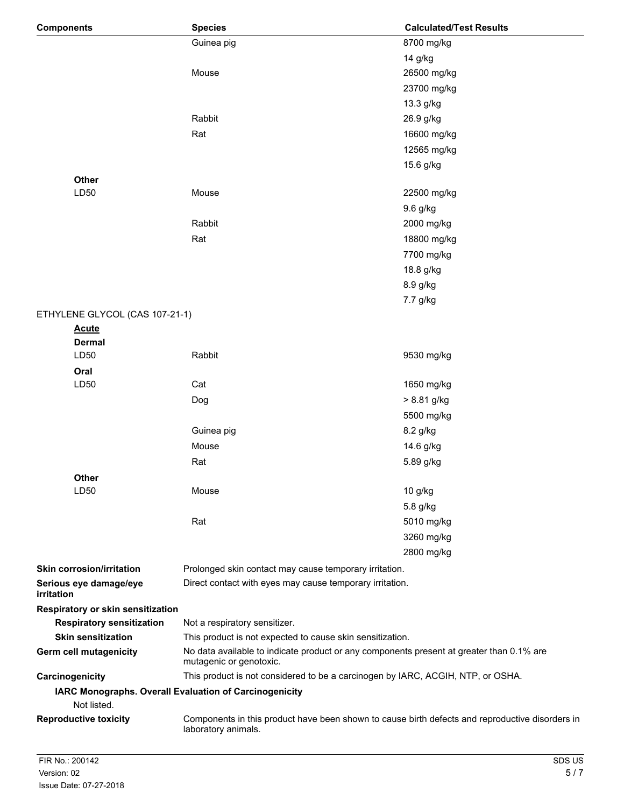| <b>Species</b><br><b>Components</b>                                                                | <b>Calculated/Test Results</b>                                                           |  |
|----------------------------------------------------------------------------------------------------|------------------------------------------------------------------------------------------|--|
| Guinea pig<br>8700 mg/kg                                                                           |                                                                                          |  |
| 14 g/kg                                                                                            |                                                                                          |  |
| Mouse<br>26500 mg/kg                                                                               |                                                                                          |  |
| 23700 mg/kg                                                                                        |                                                                                          |  |
| 13.3 g/kg                                                                                          |                                                                                          |  |
| Rabbit<br>26.9 g/kg                                                                                |                                                                                          |  |
| Rat<br>16600 mg/kg                                                                                 |                                                                                          |  |
| 12565 mg/kg                                                                                        |                                                                                          |  |
| 15.6 g/kg                                                                                          |                                                                                          |  |
| Other                                                                                              |                                                                                          |  |
| LD50<br>Mouse<br>22500 mg/kg                                                                       |                                                                                          |  |
| 9.6 g/kg                                                                                           |                                                                                          |  |
| Rabbit<br>2000 mg/kg                                                                               |                                                                                          |  |
| Rat<br>18800 mg/kg                                                                                 |                                                                                          |  |
| 7700 mg/kg                                                                                         |                                                                                          |  |
| 18.8 g/kg                                                                                          |                                                                                          |  |
| 8.9 g/kg                                                                                           |                                                                                          |  |
| 7.7 g/kg                                                                                           |                                                                                          |  |
| ETHYLENE GLYCOL (CAS 107-21-1)                                                                     |                                                                                          |  |
| <b>Acute</b>                                                                                       |                                                                                          |  |
| <b>Dermal</b>                                                                                      |                                                                                          |  |
| Rabbit<br>LD50<br>9530 mg/kg                                                                       |                                                                                          |  |
| Oral<br>LD50<br>Cat                                                                                |                                                                                          |  |
| 1650 mg/kg                                                                                         |                                                                                          |  |
| > 8.81 g/kg<br>Dog                                                                                 |                                                                                          |  |
| 5500 mg/kg                                                                                         |                                                                                          |  |
| 8.2 g/kg<br>Guinea pig                                                                             |                                                                                          |  |
| Mouse<br>14.6 g/kg                                                                                 |                                                                                          |  |
| Rat<br>5.89 g/kg                                                                                   |                                                                                          |  |
| Other<br>LD50<br>Mouse                                                                             |                                                                                          |  |
| 10 g/kg                                                                                            |                                                                                          |  |
| 5.8 g/kg<br>Rat<br>5010 mg/kg                                                                      |                                                                                          |  |
|                                                                                                    |                                                                                          |  |
| 3260 mg/kg<br>2800 mg/kg                                                                           |                                                                                          |  |
|                                                                                                    |                                                                                          |  |
| <b>Skin corrosion/irritation</b>                                                                   | Prolonged skin contact may cause temporary irritation.                                   |  |
| Direct contact with eyes may cause temporary irritation.<br>Serious eye damage/eye<br>irritation   |                                                                                          |  |
| Respiratory or skin sensitization                                                                  |                                                                                          |  |
| <b>Respiratory sensitization</b><br>Not a respiratory sensitizer.                                  |                                                                                          |  |
| <b>Skin sensitization</b>                                                                          | This product is not expected to cause skin sensitization.                                |  |
| Germ cell mutagenicity<br>mutagenic or genotoxic.                                                  | No data available to indicate product or any components present at greater than 0.1% are |  |
|                                                                                                    |                                                                                          |  |
| This product is not considered to be a carcinogen by IARC, ACGIH, NTP, or OSHA.<br>Carcinogenicity |                                                                                          |  |
| IARC Monographs. Overall Evaluation of Carcinogenicity<br>Not listed.                              |                                                                                          |  |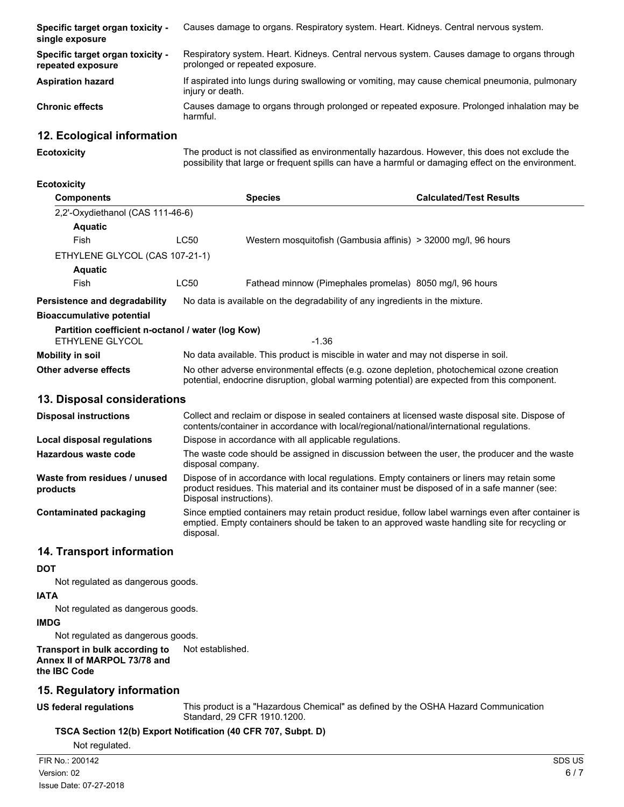| Specific target organ toxicity -<br>single exposure   | Causes damage to organs. Respiratory system. Heart. Kidneys. Central nervous system.                                                                                                                  |
|-------------------------------------------------------|-------------------------------------------------------------------------------------------------------------------------------------------------------------------------------------------------------|
| Specific target organ toxicity -<br>repeated exposure | Respiratory system. Heart. Kidneys. Central nervous system. Causes damage to organs through<br>prolonged or repeated exposure.                                                                        |
| <b>Aspiration hazard</b>                              | If aspirated into lungs during swallowing or vomiting, may cause chemical pneumonia, pulmonary<br>injury or death.                                                                                    |
| <b>Chronic effects</b>                                | Causes damage to organs through prolonged or repeated exposure. Prolonged inhalation may be<br>harmful.                                                                                               |
| 12. Ecological information                            |                                                                                                                                                                                                       |
| <b>Ecotoxicity</b>                                    | The product is not classified as environmentally hazardous. However, this does not exclude the<br>possibility that large or frequent spills can have a harmful or damaging effect on the environment. |

| <b>Ecotoxicity</b>                                |                                                                                                                                                                                            |                                                                              |                                |
|---------------------------------------------------|--------------------------------------------------------------------------------------------------------------------------------------------------------------------------------------------|------------------------------------------------------------------------------|--------------------------------|
| <b>Components</b>                                 |                                                                                                                                                                                            | <b>Species</b>                                                               | <b>Calculated/Test Results</b> |
| 2,2'-Oxydiethanol (CAS 111-46-6)                  |                                                                                                                                                                                            |                                                                              |                                |
| <b>Aquatic</b>                                    |                                                                                                                                                                                            |                                                                              |                                |
| Fish                                              | LC50                                                                                                                                                                                       | Western mosquitofish (Gambusia affinis) > 32000 mg/l, 96 hours               |                                |
| ETHYLENE GLYCOL (CAS 107-21-1)                    |                                                                                                                                                                                            |                                                                              |                                |
| <b>Aquatic</b>                                    |                                                                                                                                                                                            |                                                                              |                                |
| Fish                                              | LC50                                                                                                                                                                                       | Fathead minnow (Pimephales promelas) 8050 mg/l, 96 hours                     |                                |
| <b>Persistence and degradability</b>              |                                                                                                                                                                                            | No data is available on the degradability of any ingredients in the mixture. |                                |
| <b>Bioaccumulative potential</b>                  |                                                                                                                                                                                            |                                                                              |                                |
| Partition coefficient n-octanol / water (log Kow) |                                                                                                                                                                                            |                                                                              |                                |
| ETHYLENE GLYCOL                                   |                                                                                                                                                                                            | $-1.36$                                                                      |                                |
| <b>Mobility in soil</b>                           | No data available. This product is miscible in water and may not disperse in soil.                                                                                                         |                                                                              |                                |
| Other adverse effects                             | No other adverse environmental effects (e.g. ozone depletion, photochemical ozone creation<br>potential, endocrine disruption, global warming potential) are expected from this component. |                                                                              |                                |

#### **13. Disposal considerations**

| <b>Disposal instructions</b>             | Collect and reclaim or dispose in sealed containers at licensed waste disposal site. Dispose of<br>contents/container in accordance with local/regional/national/international regulations.                            |
|------------------------------------------|------------------------------------------------------------------------------------------------------------------------------------------------------------------------------------------------------------------------|
| Local disposal regulations               | Dispose in accordance with all applicable regulations.                                                                                                                                                                 |
| Hazardous waste code                     | The waste code should be assigned in discussion between the user, the producer and the waste<br>disposal company.                                                                                                      |
| Waste from residues / unused<br>products | Dispose of in accordance with local regulations. Empty containers or liners may retain some<br>product residues. This material and its container must be disposed of in a safe manner (see:<br>Disposal instructions). |
| <b>Contaminated packaging</b>            | Since emptied containers may retain product residue, follow label warnings even after container is<br>emptied. Empty containers should be taken to an approved waste handling site for recycling or<br>disposal.       |

#### **14. Transport information**

#### **DOT**

Not regulated as dangerous goods.

**IATA**

Not regulated as dangerous goods.

### **IMDG**

Not regulated as dangerous goods.

**Transport in bulk according to** Not established.

**Annex II of MARPOL 73/78 and the IBC Code**

### **15. Regulatory information**

#### **US federal regulations**

This product is a "Hazardous Chemical" as defined by the OSHA Hazard Communication Standard, 29 CFR 1910.1200.

### **TSCA Section 12(b) Export Notification (40 CFR 707, Subpt. D)**

Not regulated.